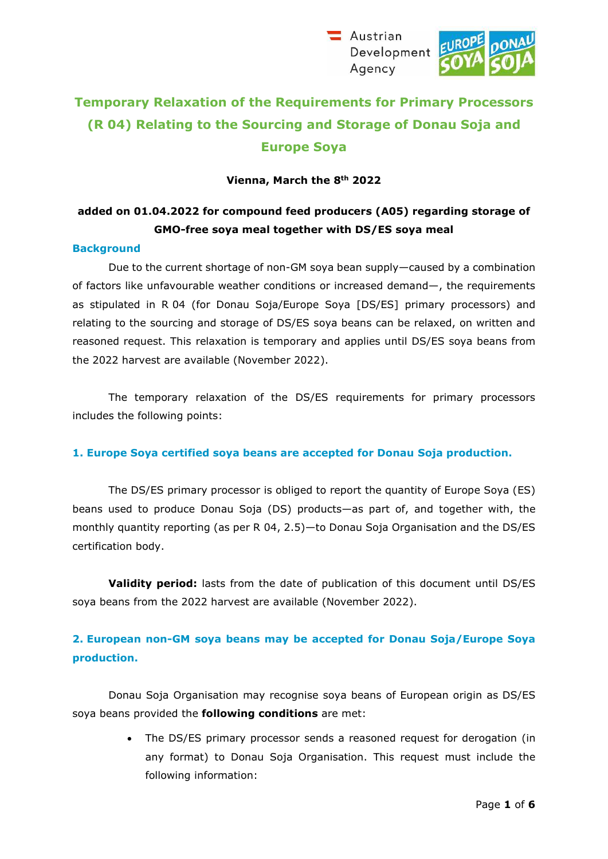Austrian Development Agency



# **Temporary Relaxation of the Requirements for Primary Processors (R 04) Relating to the Sourcing and Storage of Donau Soja and Europe Soya**

### **Vienna, March the 8th 2022**

## **added on 01.04.2022 for compound feed producers (A05) regarding storage of GMO-free soya meal together with DS/ES soya meal**

#### **Background**

Due to the current shortage of non-GM soya bean supply—caused by a combination of factors like unfavourable weather conditions or increased demand—, the requirements as stipulated in R 04 (for Donau Soja/Europe Soya [DS/ES] primary processors) and relating to the sourcing and storage of DS/ES soya beans can be relaxed, on written and reasoned request. This relaxation is temporary and applies until DS/ES soya beans from the 2022 harvest are available (November 2022).

The temporary relaxation of the DS/ES requirements for primary processors includes the following points:

#### **1. Europe Soya certified soya beans are accepted for Donau Soja production.**

The DS/ES primary processor is obliged to report the quantity of Europe Soya (ES) beans used to produce Donau Soja (DS) products—as part of, and together with, the monthly quantity reporting (as per R 04, 2.5)—to Donau Soja Organisation and the DS/ES certification body.

**Validity period:** lasts from the date of publication of this document until DS/ES soya beans from the 2022 harvest are available (November 2022).

## **2. European non-GM soya beans may be accepted for Donau Soja/Europe Soya production.**

Donau Soja Organisation may recognise soya beans of European origin as DS/ES soya beans provided the **following conditions** are met:

> • The DS/ES primary processor sends a reasoned request for derogation (in any format) to Donau Soja Organisation. This request must include the following information: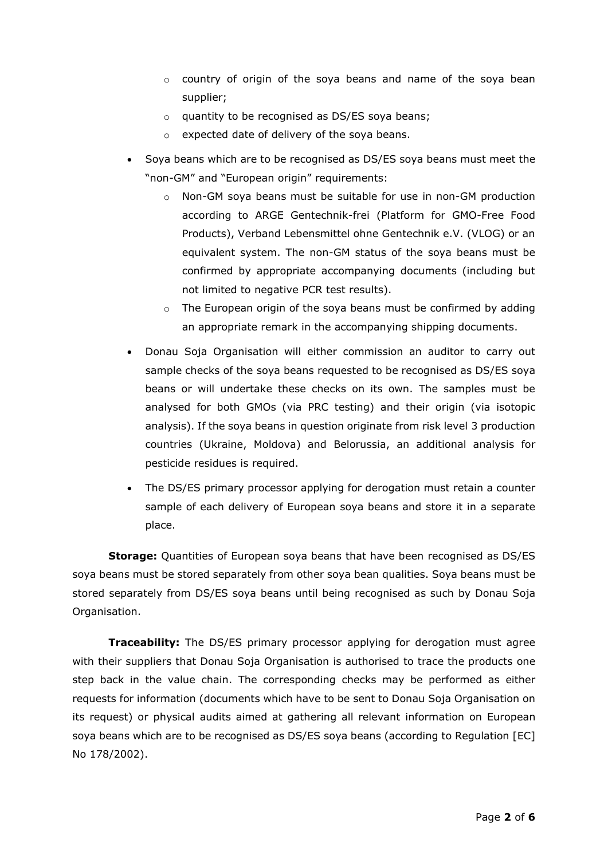- o country of origin of the soya beans and name of the soya bean supplier;
- o quantity to be recognised as DS/ES soya beans;
- o expected date of delivery of the soya beans.
- Soya beans which are to be recognised as DS/ES soya beans must meet the "non-GM" and "European origin" requirements:
	- $\circ$  Non-GM soya beans must be suitable for use in non-GM production according to ARGE Gentechnik-frei (Platform for GMO-Free Food Products), Verband Lebensmittel ohne Gentechnik e.V. (VLOG) or an equivalent system. The non-GM status of the soya beans must be confirmed by appropriate accompanying documents (including but not limited to negative PCR test results).
	- $\circ$  The European origin of the soya beans must be confirmed by adding an appropriate remark in the accompanying shipping documents.
- Donau Soja Organisation will either commission an auditor to carry out sample checks of the soya beans requested to be recognised as DS/ES soya beans or will undertake these checks on its own. The samples must be analysed for both GMOs (via PRC testing) and their origin (via isotopic analysis). If the soya beans in question originate from risk level 3 production countries (Ukraine, Moldova) and Belorussia, an additional analysis for pesticide residues is required.
- The DS/ES primary processor applying for derogation must retain a counter sample of each delivery of European soya beans and store it in a separate place.

**Storage:** Quantities of European soya beans that have been recognised as DS/ES soya beans must be stored separately from other soya bean qualities. Soya beans must be stored separately from DS/ES soya beans until being recognised as such by Donau Soja Organisation.

**Traceability:** The DS/ES primary processor applying for derogation must agree with their suppliers that Donau Soja Organisation is authorised to trace the products one step back in the value chain. The corresponding checks may be performed as either requests for information (documents which have to be sent to Donau Soja Organisation on its request) or physical audits aimed at gathering all relevant information on European soya beans which are to be recognised as DS/ES soya beans (according to Regulation [EC] No 178/2002).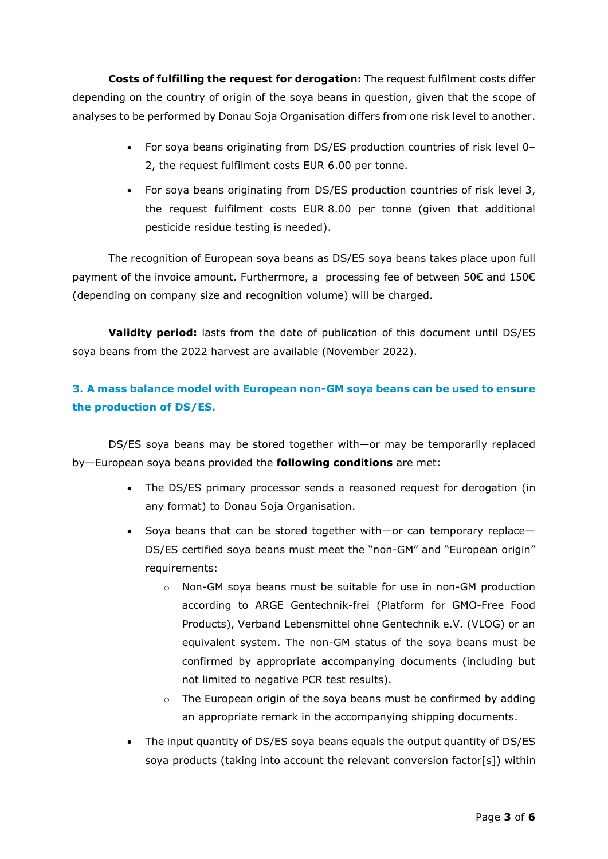**Costs of fulfilling the request for derogation:** The request fulfilment costs differ depending on the country of origin of the soya beans in question, given that the scope of analyses to be performed by Donau Soja Organisation differs from one risk level to another.

- For soya beans originating from DS/ES production countries of risk level 0– 2, the request fulfilment costs EUR 6.00 per tonne.
- For soya beans originating from DS/ES production countries of risk level 3, the request fulfilment costs EUR 8.00 per tonne (given that additional pesticide residue testing is needed).

The recognition of European soya beans as DS/ES soya beans takes place upon full payment of the invoice amount. Furthermore, a processing fee of between 50€ and 150€ (depending on company size and recognition volume) will be charged.

**Validity period:** lasts from the date of publication of this document until DS/ES soya beans from the 2022 harvest are available (November 2022).

## **3. A mass balance model with European non-GM soya beans can be used to ensure the production of DS/ES.**

DS/ES soya beans may be stored together with—or may be temporarily replaced by—European soya beans provided the **following conditions** are met:

- The DS/ES primary processor sends a reasoned request for derogation (in any format) to Donau Soja Organisation.
- Soya beans that can be stored together with—or can temporary replace— DS/ES certified soya beans must meet the "non-GM" and "European origin" requirements:
	- $\circ$  Non-GM soya beans must be suitable for use in non-GM production according to ARGE Gentechnik-frei (Platform for GMO-Free Food Products), Verband Lebensmittel ohne Gentechnik e.V. (VLOG) or an equivalent system. The non-GM status of the soya beans must be confirmed by appropriate accompanying documents (including but not limited to negative PCR test results).
	- $\circ$  The European origin of the soya beans must be confirmed by adding an appropriate remark in the accompanying shipping documents.
- The input quantity of DS/ES soya beans equals the output quantity of DS/ES soya products (taking into account the relevant conversion factor[s]) within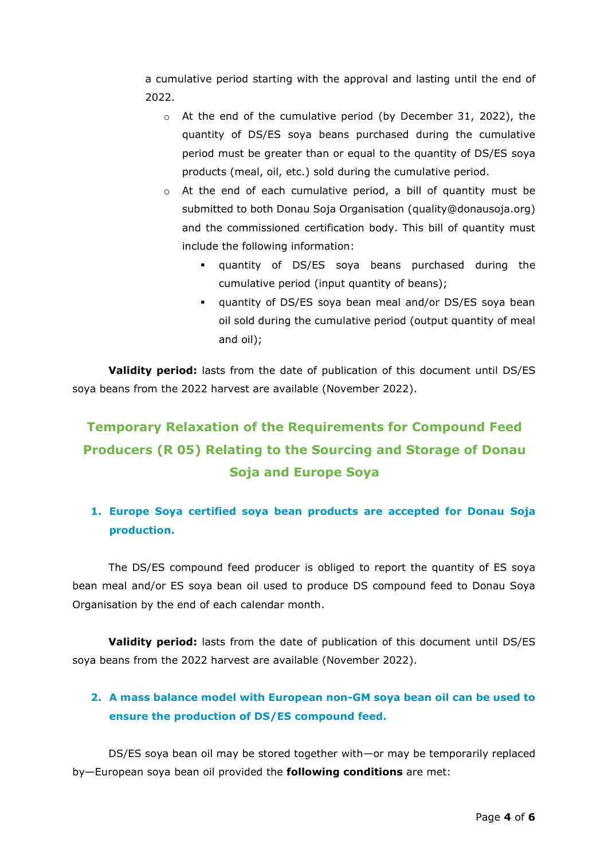a cumulative period starting with the approval and lasting until the end of 2022.

- o At the end of the cumulative period (by December 31, 2022), the quantity of DS/ES soya beans purchased during the cumulative period must be greater than or equal to the quantity of DS/ES soya products (meal, oil, etc.) sold during the cumulative period.
- $\circ$  At the end of each cumulative period, a bill of quantity must be submitted to both Donau Soja Organisation [\(quality@donausoja.org\)](mailto:quality@donausoja.org) and the commissioned certification body. This bill of quantity must include the following information:
	- quantity of DS/ES soya beans purchased during the cumulative period (input quantity of beans);
	- quantity of DS/ES soya bean meal and/or DS/ES soya bean oil sold during the cumulative period (output quantity of meal and oil);

**Validity period:** lasts from the date of publication of this document until DS/ES soya beans from the 2022 harvest are available (November 2022).

# **Temporary Relaxation of the Requirements for Compound Feed Producers (R 05) Relating to the Sourcing and Storage of Donau Soja and Europe Soya**

## **1. Europe Soya certified soya bean products are accepted for Donau Soja production.**

The DS/ES compound feed producer is obliged to report the quantity of ES soya bean meal and/or ES soya bean oil used to produce DS compound feed to Donau Soya Organisation by the end of each calendar month.

**Validity period:** lasts from the date of publication of this document until DS/ES soya beans from the 2022 harvest are available (November 2022).

## **2. A mass balance model with European non-GM soya bean oil can be used to ensure the production of DS/ES compound feed.**

DS/ES soya bean oil may be stored together with—or may be temporarily replaced by—European soya bean oil provided the **following conditions** are met: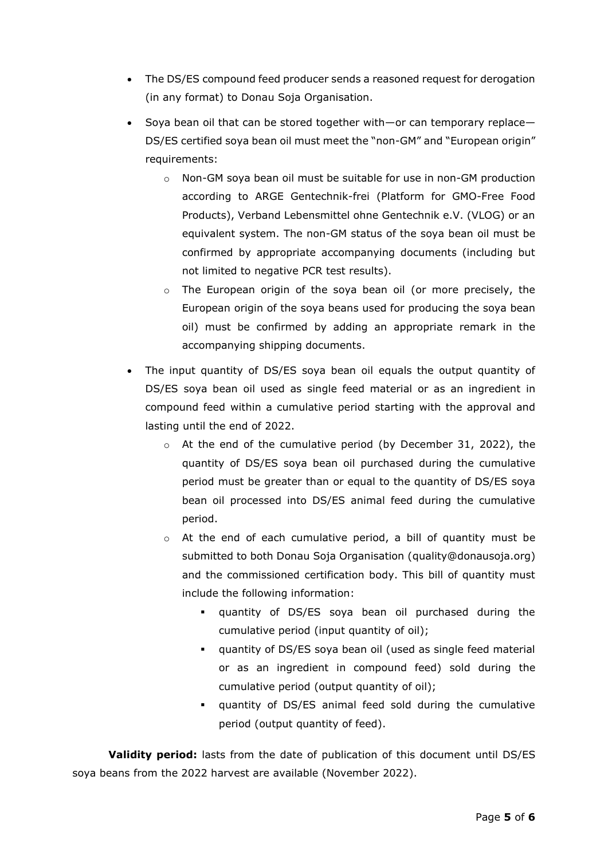- The DS/ES compound feed producer sends a reasoned request for derogation (in any format) to Donau Soja Organisation.
- Soya bean oil that can be stored together with—or can temporary replace— DS/ES certified soya bean oil must meet the "non-GM" and "European origin" requirements:
	- o Non-GM soya bean oil must be suitable for use in non-GM production according to ARGE Gentechnik-frei (Platform for GMO-Free Food Products), Verband Lebensmittel ohne Gentechnik e.V. (VLOG) or an equivalent system. The non-GM status of the soya bean oil must be confirmed by appropriate accompanying documents (including but not limited to negative PCR test results).
	- $\circ$  The European origin of the soya bean oil (or more precisely, the European origin of the soya beans used for producing the soya bean oil) must be confirmed by adding an appropriate remark in the accompanying shipping documents.
- The input quantity of DS/ES soya bean oil equals the output quantity of DS/ES soya bean oil used as single feed material or as an ingredient in compound feed within a cumulative period starting with the approval and lasting until the end of 2022.
	- o At the end of the cumulative period (by December 31, 2022), the quantity of DS/ES soya bean oil purchased during the cumulative period must be greater than or equal to the quantity of DS/ES soya bean oil processed into DS/ES animal feed during the cumulative period.
	- o At the end of each cumulative period, a bill of quantity must be submitted to both Donau Soja Organisation [\(quality@donausoja.org\)](mailto:quality@donausoja.org) and the commissioned certification body. This bill of quantity must include the following information:
		- quantity of DS/ES soya bean oil purchased during the cumulative period (input quantity of oil);
		- quantity of DS/ES soya bean oil (used as single feed material or as an ingredient in compound feed) sold during the cumulative period (output quantity of oil);
		- quantity of DS/ES animal feed sold during the cumulative period (output quantity of feed).

**Validity period:** lasts from the date of publication of this document until DS/ES soya beans from the 2022 harvest are available (November 2022).